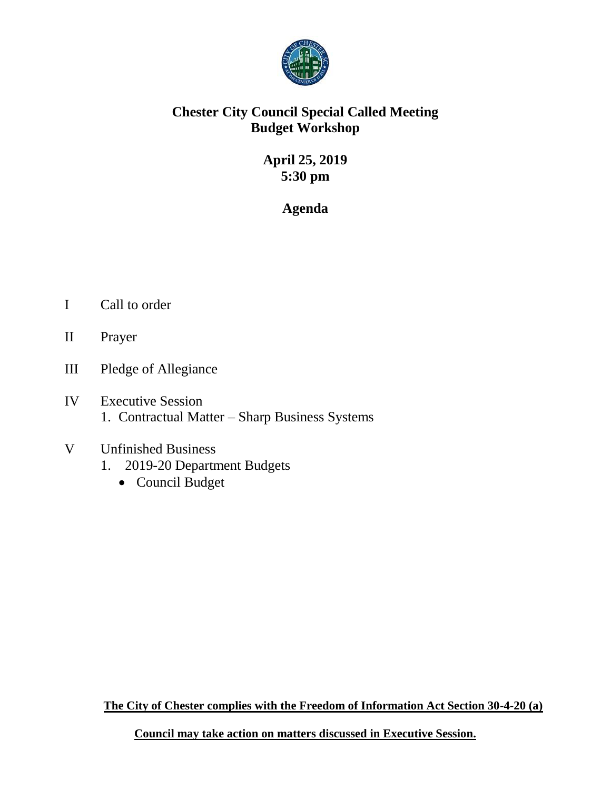

## **Chester City Council Special Called Meeting Budget Workshop**

# **April 25, 2019 5:30 pm**

## **Agenda**

- I Call to order
- II Prayer
- III Pledge of Allegiance
- IV Executive Session 1. Contractual Matter – Sharp Business Systems

## V Unfinished Business 1. 2019-20 Department Budgets

• Council Budget

**The City of Chester complies with the Freedom of Information Act Section 30-4-20 (a)**

**Council may take action on matters discussed in Executive Session.**